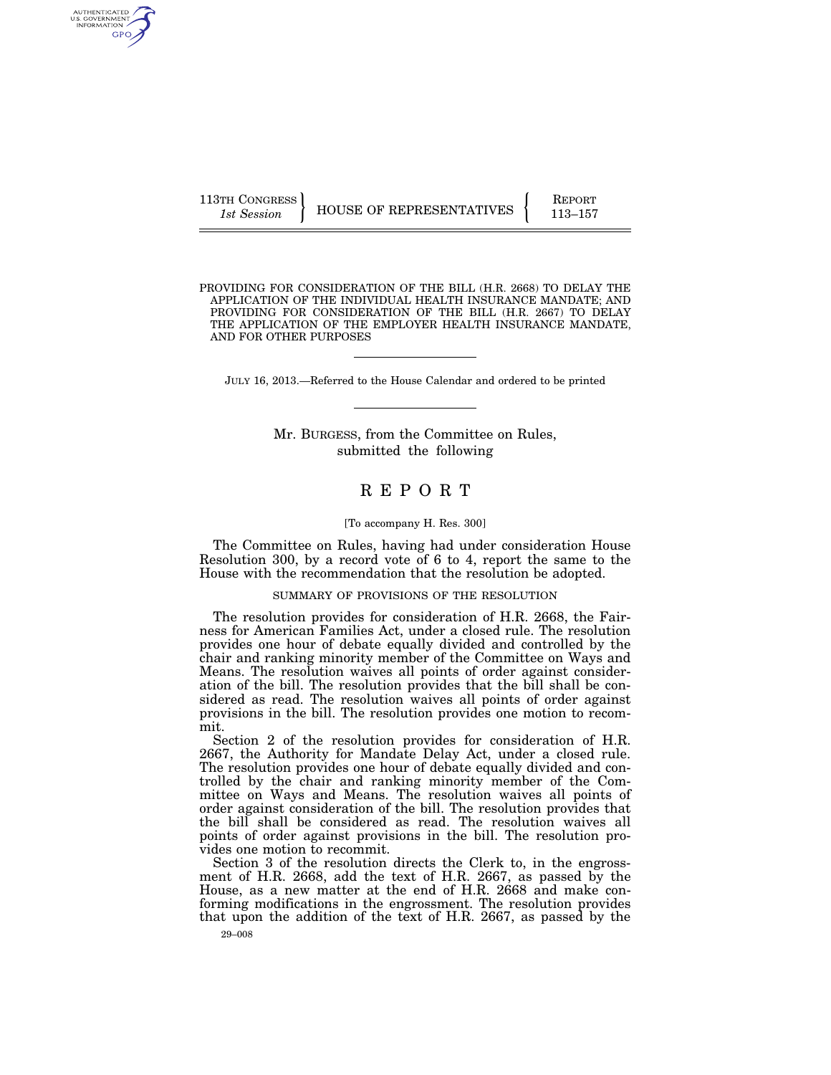113TH CONGRESS HOUSE OF REPRESENTATIVES FEPORT 113-157

PROVIDING FOR CONSIDERATION OF THE BILL (H.R. 2668) TO DELAY THE APPLICATION OF THE INDIVIDUAL HEALTH INSURANCE MANDATE; AND PROVIDING FOR CONSIDERATION OF THE BILL (H.R. 2667) TO DELAY THE APPLICATION OF THE EMPLOYER HEALTH INSURANCE MANDATE, AND FOR OTHER PURPOSES

JULY 16, 2013.—Referred to the House Calendar and ordered to be printed

Mr. BURGESS, from the Committee on Rules, submitted the following

# R E P O R T

#### [To accompany H. Res. 300]

The Committee on Rules, having had under consideration House Resolution 300, by a record vote of 6 to 4, report the same to the House with the recommendation that the resolution be adopted.

## SUMMARY OF PROVISIONS OF THE RESOLUTION

The resolution provides for consideration of H.R. 2668, the Fairness for American Families Act, under a closed rule. The resolution provides one hour of debate equally divided and controlled by the chair and ranking minority member of the Committee on Ways and Means. The resolution waives all points of order against consideration of the bill. The resolution provides that the bill shall be considered as read. The resolution waives all points of order against provisions in the bill. The resolution provides one motion to recommit.

Section 2 of the resolution provides for consideration of H.R. 2667, the Authority for Mandate Delay Act, under a closed rule. The resolution provides one hour of debate equally divided and controlled by the chair and ranking minority member of the Committee on Ways and Means. The resolution waives all points of order against consideration of the bill. The resolution provides that the bill shall be considered as read. The resolution waives all points of order against provisions in the bill. The resolution provides one motion to recommit.

Section 3 of the resolution directs the Clerk to, in the engrossment of H.R. 2668, add the text of H.R. 2667, as passed by the House, as a new matter at the end of H.R. 2668 and make conforming modifications in the engrossment. The resolution provides that upon the addition of the text of H.R. 2667, as passed by the

AUTHENTICATED U.S. GOVERNMENT GPO